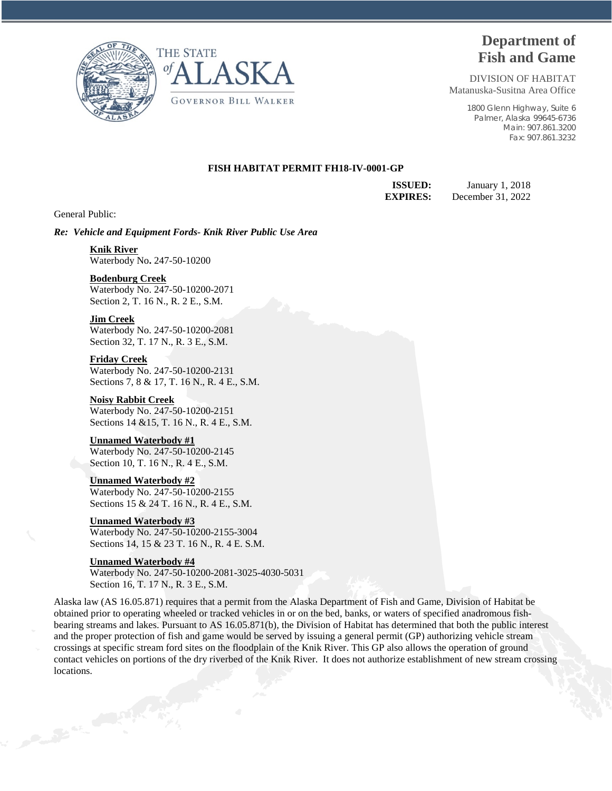



# **Department of Fish and Game**

DIVISION OF HABITAT Matanuska-Susitna Area Office

> 1800 Glenn Highway, Suite 6 Palmer, Alaska 99645-6736 Main: 907.861.3200 Fax: 907.861.3232

## **FISH HABITAT PERMIT FH18-IV-0001-GP**

**ISSUED:** January 1, 2018 **EXPIRES:** December 31, 2022

General Public:

*Re: Vehicle and Equipment Fords- Knik River Public Use Area*

## **Knik River**

Waterbody No**.** 247-50-10200

## **Bodenburg Creek**

Waterbody No. 247-50-10200-2071 Section 2, T. 16 N., R. 2 E., S.M.

## **Jim Creek**

Waterbody No. 247-50-10200-2081 Section 32, T. 17 N., R. 3 E., S.M.

### **Friday Creek**

Waterbody No. 247-50-10200-2131 Sections 7, 8 & 17, T. 16 N., R. 4 E., S.M.

# **Noisy Rabbit Creek**

Waterbody No. 247-50-10200-2151 Sections 14 &15, T. 16 N., R. 4 E., S.M.

# **Unnamed Waterbody #1**

Waterbody No. 247-50-10200-2145 Section 10, T. 16 N., R. 4 E., S.M.

### **Unnamed Waterbody #2**

Waterbody No. 247-50-10200-2155 Sections 15 & 24 T. 16 N., R. 4 E., S.M.

# **Unnamed Waterbody #3**

Waterbody No. 247-50-10200-2155-3004 Sections 14, 15 & 23 T. 16 N., R. 4 E. S.M.

## **Unnamed Waterbody #4**

Waterbody No. 247-50-10200-2081-3025-4030-5031 Section 16, T. 17 N., R. 3 E., S.M.

Alaska law (AS 16.05.871) requires that a permit from the Alaska Department of Fish and Game, Division of Habitat be obtained prior to operating wheeled or tracked vehicles in or on the bed, banks, or waters of specified anadromous fishbearing streams and lakes. Pursuant to AS 16.05.871(b), the Division of Habitat has determined that both the public interest and the proper protection of fish and game would be served by issuing a general permit (GP) authorizing vehicle stream crossings at specific stream ford sites on the floodplain of the Knik River. This GP also allows the operation of ground contact vehicles on portions of the dry riverbed of the Knik River. It does not authorize establishment of new stream crossing locations.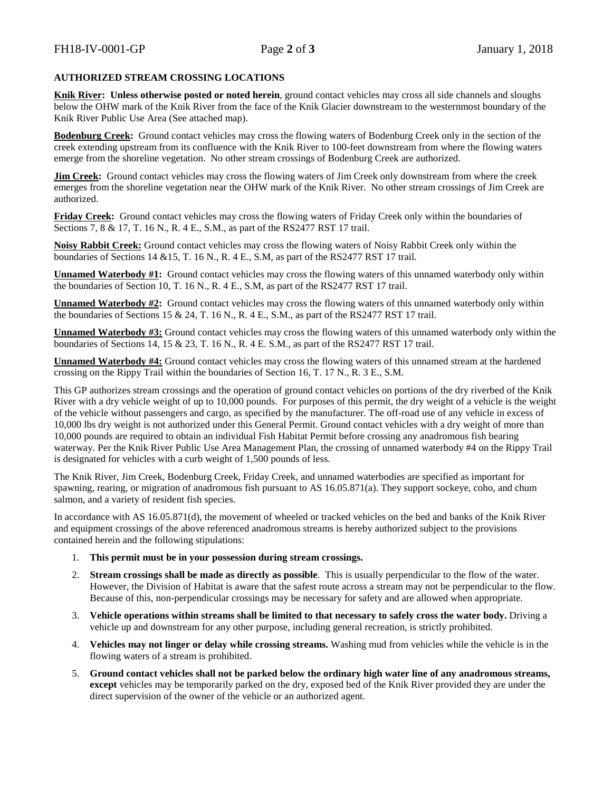# **AUTHORIZED STREAM CROSSING LOCATIONS**

**Knik River: Unless otherwise posted or noted herein**, ground contact vehicles may cross all side channels and sloughs below the OHW mark of the Knik River from the face of the Knik Glacier downstream to the westernmost boundary of the Knik River Public Use Area (See attached map).

**Bodenburg Creek:** Ground contact vehicles may cross the flowing waters of Bodenburg Creek only in the section of the creek extending upstream from its confluence with the Knik River to 100-feet downstream from where the flowing waters emerge from the shoreline vegetation. No other stream crossings of Bodenburg Creek are authorized.

**Jim Creek:** Ground contact vehicles may cross the flowing waters of Jim Creek only downstream from where the creek emerges from the shoreline vegetation near the OHW mark of the Knik River. No other stream crossings of Jim Creek are authorized.

**Friday Creek:** Ground contact vehicles may cross the flowing waters of Friday Creek only within the boundaries of Sections 7, 8 & 17, T. 16 N., R. 4 E., S.M., as part of the RS2477 RST 17 trail.

**Noisy Rabbit Creek:** Ground contact vehicles may cross the flowing waters of Noisy Rabbit Creek only within the boundaries of Sections 14 &15, T. 16 N., R. 4 E., S.M, as part of the RS2477 RST 17 trail.

**Unnamed Waterbody #1:** Ground contact vehicles may cross the flowing waters of this unnamed waterbody only within the boundaries of Section 10, T. 16 N., R. 4 E., S.M, as part of the RS2477 RST 17 trail.

**Unnamed Waterbody #2:** Ground contact vehicles may cross the flowing waters of this unnamed waterbody only within the boundaries of Sections 15 & 24, T. 16 N., R. 4 E., S.M., as part of the RS2477 RST 17 trail.

**Unnamed Waterbody #3:** Ground contact vehicles may cross the flowing waters of this unnamed waterbody only within the boundaries of Sections 14, 15 & 23, T. 16 N., R. 4 E. S.M., as part of the RS2477 RST 17 trail.

**Unnamed Waterbody #4:** Ground contact vehicles may cross the flowing waters of this unnamed stream at the hardened crossing on the Rippy Trail within the boundaries of Section 16, T. 17 N., R. 3 E., S.M.

This GP authorizes stream crossings and the operation of ground contact vehicles on portions of the dry riverbed of the Knik River with a dry vehicle weight of up to 10,000 pounds. For purposes of this permit, the dry weight of a vehicle is the weight of the vehicle without passengers and cargo, as specified by the manufacturer. The off-road use of any vehicle in excess of 10,000 lbs dry weight is not authorized under this General Permit. Ground contact vehicles with a dry weight of more than 10,000 pounds are required to obtain an individual Fish Habitat Permit before crossing any anadromous fish bearing waterway. Per the Knik River Public Use Area Management Plan, the crossing of unnamed waterbody #4 on the Rippy Trail is designated for vehicles with a curb weight of 1,500 pounds of less.

The Knik River, Jim Creek, Bodenburg Creek, Friday Creek, and unnamed waterbodies are specified as important for spawning, rearing, or migration of anadromous fish pursuant to AS 16.05.871(a). They support sockeye, coho, and chum salmon, and a variety of resident fish species.

In accordance with AS 16.05.871(d), the movement of wheeled or tracked vehicles on the bed and banks of the Knik River and equipment crossings of the above referenced anadromous streams is hereby authorized subject to the provisions contained herein and the following stipulations:

- 1. **This permit must be in your possession during stream crossings.**
- 2. **Stream crossings shall be made as directly as possible**. This is usually perpendicular to the flow of the water. However, the Division of Habitat is aware that the safest route across a stream may not be perpendicular to the flow. Because of this, non-perpendicular crossings may be necessary for safety and are allowed when appropriate.
- 3. **Vehicle operations within streams shall be limited to that necessary to safely cross the water body.** Driving a vehicle up and downstream for any other purpose, including general recreation, is strictly prohibited.
- 4. **Vehicles may not linger or delay while crossing streams.** Washing mud from vehicles while the vehicle is in the flowing waters of a stream is prohibited.
- 5. **Ground contact vehicles shall not be parked below the ordinary high water line of any anadromous streams, except** vehicles may be temporarily parked on the dry, exposed bed of the Knik River provided they are under the direct supervision of the owner of the vehicle or an authorized agent.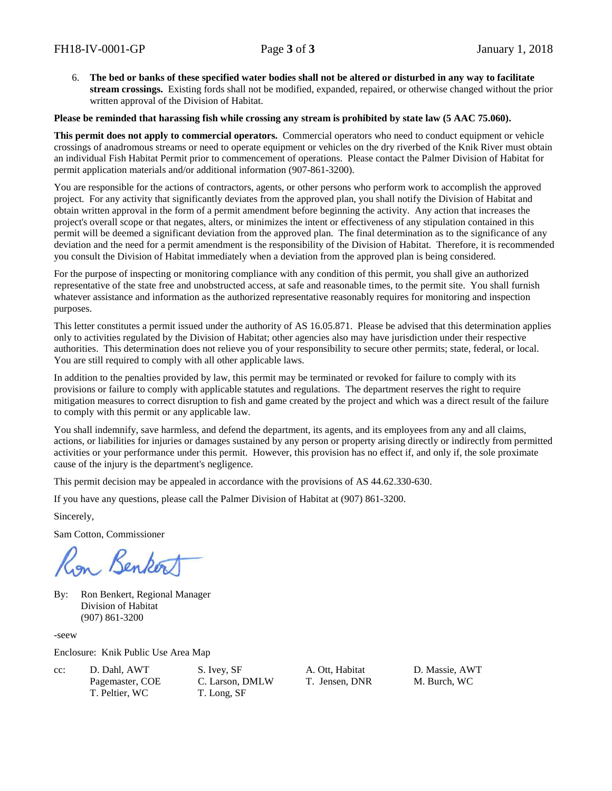6. **The bed or banks of these specified water bodies shall not be altered or disturbed in any way to facilitate stream crossings.** Existing fords shall not be modified, expanded, repaired, or otherwise changed without the prior written approval of the Division of Habitat.

# **Please be reminded that harassing fish while crossing any stream is prohibited by state law (5 AAC 75.060).**

**This permit does not apply to commercial operators.** Commercial operators who need to conduct equipment or vehicle crossings of anadromous streams or need to operate equipment or vehicles on the dry riverbed of the Knik River must obtain an individual Fish Habitat Permit prior to commencement of operations. Please contact the Palmer Division of Habitat for permit application materials and/or additional information (907-861-3200).

You are responsible for the actions of contractors, agents, or other persons who perform work to accomplish the approved project. For any activity that significantly deviates from the approved plan, you shall notify the Division of Habitat and obtain written approval in the form of a permit amendment before beginning the activity. Any action that increases the project's overall scope or that negates, alters, or minimizes the intent or effectiveness of any stipulation contained in this permit will be deemed a significant deviation from the approved plan. The final determination as to the significance of any deviation and the need for a permit amendment is the responsibility of the Division of Habitat. Therefore, it is recommended you consult the Division of Habitat immediately when a deviation from the approved plan is being considered.

For the purpose of inspecting or monitoring compliance with any condition of this permit, you shall give an authorized representative of the state free and unobstructed access, at safe and reasonable times, to the permit site. You shall furnish whatever assistance and information as the authorized representative reasonably requires for monitoring and inspection purposes.

This letter constitutes a permit issued under the authority of AS 16.05.871. Please be advised that this determination applies only to activities regulated by the Division of Habitat; other agencies also may have jurisdiction under their respective authorities. This determination does not relieve you of your responsibility to secure other permits; state, federal, or local. You are still required to comply with all other applicable laws.

In addition to the penalties provided by law, this permit may be terminated or revoked for failure to comply with its provisions or failure to comply with applicable statutes and regulations. The department reserves the right to require mitigation measures to correct disruption to fish and game created by the project and which was a direct result of the failure to comply with this permit or any applicable law.

You shall indemnify, save harmless, and defend the department, its agents, and its employees from any and all claims, actions, or liabilities for injuries or damages sustained by any person or property arising directly or indirectly from permitted activities or your performance under this permit. However, this provision has no effect if, and only if, the sole proximate cause of the injury is the department's negligence.

This permit decision may be appealed in accordance with the provisions of AS 44.62.330-630.

If you have any questions, please call the Palmer Division of Habitat at (907) 861-3200.

Sincerely,

Sam Cotton, Commissioner

on Benker

By: Ron Benkert, Regional Manager Division of Habitat (907) 861-3200

-seew

Enclosure: Knik Public Use Area Map

| $cc$ : | D. Dahl, AWT    | S. Ivey, SF   |
|--------|-----------------|---------------|
|        | Pagemaster, COE | C. Larson, DN |
|        | T. Peltier, WC  | T. Long, SF   |

MLW T. Jensen, DNR M. Burch, WC

A. Ott, Habitat D. Massie, AWT